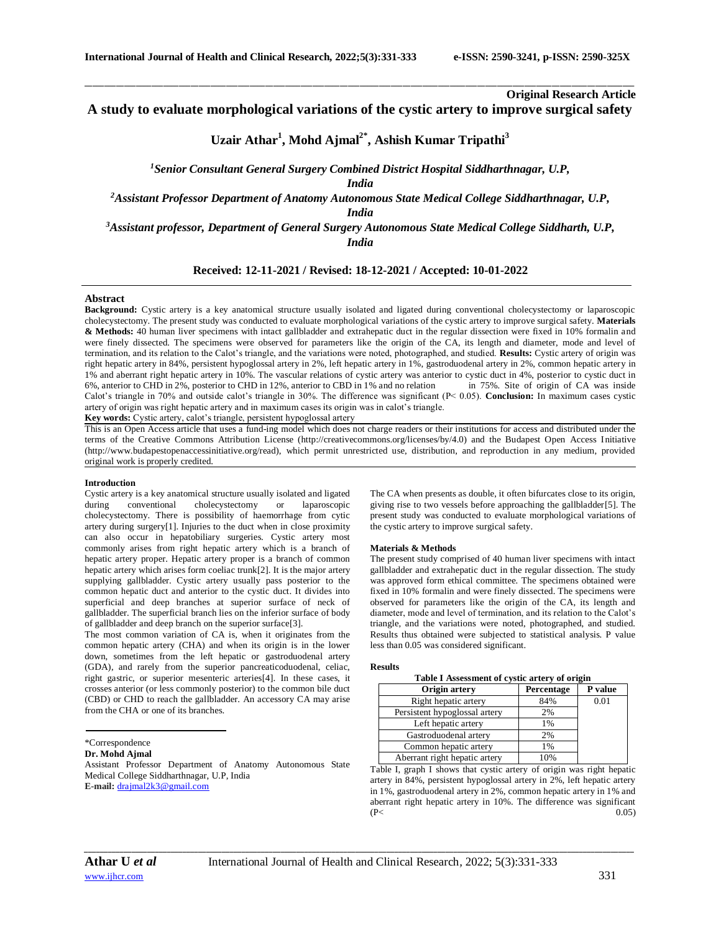# **Original Research Article**

**A study to evaluate morphological variations of the cystic artery to improve surgical safety**

\_\_\_\_\_\_\_\_\_\_\_\_\_\_\_\_\_\_\_\_\_\_\_\_\_\_\_\_\_\_\_\_\_\_\_\_\_\_\_\_\_\_\_\_\_\_\_\_\_\_\_\_\_\_\_\_\_\_\_\_\_\_\_\_\_\_\_\_\_\_\_\_\_\_\_\_\_\_\_\_\_\_\_\_\_\_\_\_\_\_\_\_\_\_\_\_\_\_\_\_\_\_\_\_\_\_\_\_\_\_\_\_\_\_\_\_\_\_\_\_\_\_\_\_\_\_\_\_\_\_\_\_\_\_\_\_\_\_\_\_

# **Uzair Athar<sup>1</sup> , Mohd Ajmal2\* , Ashish Kumar Tripathi<sup>3</sup>**

*<sup>1</sup>Senior Consultant General Surgery Combined District Hospital Siddharthnagar, U.P,* 

*India*

*<sup>2</sup>Assistant Professor Department of Anatomy Autonomous State Medical College Siddharthnagar, U.P,* 

*India*

*<sup>3</sup>Assistant professor, Department of General Surgery Autonomous State Medical College Siddharth, U.P,* 

*India*

# **Received: 12-11-2021 / Revised: 18-12-2021 / Accepted: 10-01-2022**

# **Abstract**

**Background:** Cystic artery is a key anatomical structure usually isolated and ligated during conventional cholecystectomy or laparoscopic cholecystectomy. The present study was conducted to evaluate morphological variations of the cystic artery to improve surgical safety. **Materials & Methods:** 40 human liver specimens with intact gallbladder and extrahepatic duct in the regular dissection were fixed in 10% formalin and were finely dissected. The specimens were observed for parameters like the origin of the CA, its length and diameter, mode and level of termination, and its relation to the Calot's triangle, and the variations were noted, photographed, and studied. **Results:** Cystic artery of origin was right hepatic artery in 84%, persistent hypoglossal artery in 2%, left hepatic artery in 1%, gastroduodenal artery in 2%, common hepatic artery in 1% and aberrant right hepatic artery in 10%. The vascular relations of cystic artery was anterior to cystic duct in 4%, posterior to cystic duct in 6%, anterior to CHD in 2%, posterior to CHD in 12%, anterior to CBD in 1% and no relation in 75%. Site of origin of CA was inside Calot's triangle in 70% and outside calot's triangle in 30%. The difference was significant (P< 0.05). **Conclusion:** In maximum cases cystic artery of origin was right hepatic artery and in maximum cases its origin was in calot's triangle. **Key words:** Cystic artery, calot's triangle, persistent hypoglossal artery

This is an Open Access article that uses a fund-ing model which does not charge readers or their institutions for access and distributed under the terms of the Creative Commons Attribution License (http://creativecommons.org/licenses/by/4.0) and the Budapest Open Access Initiative (http://www.budapestopenaccessinitiative.org/read), which permit unrestricted use, distribution, and reproduction in any medium, provided

#### **Introduction**

original work is properly credited.

Cystic artery is a key anatomical structure usually isolated and ligated during conventional cholecystectomy or laparoscopic cholecystectomy. There is possibility of haemorrhage from cytic artery during surgery[1]. Injuries to the duct when in close proximity can also occur in hepatobiliary surgeries. Cystic artery most commonly arises from right hepatic artery which is a branch of hepatic artery proper. Hepatic artery proper is a branch of common hepatic artery which arises form coeliac trunk[2]. It is the major artery supplying gallbladder. Cystic artery usually pass posterior to the common hepatic duct and anterior to the cystic duct. It divides into superficial and deep branches at superior surface of neck of gallbladder. The superficial branch lies on the inferior surface of body of gallbladder and deep branch on the superior surface[3].

The most common variation of CA is, when it originates from the common hepatic artery (CHA) and when its origin is in the lower down, sometimes from the left hepatic or gastroduodenal artery (GDA), and rarely from the superior pancreaticoduodenal, celiac, right gastric, or superior mesenteric arteries[4]. In these cases, it crosses anterior (or less commonly posterior) to the common bile duct (CBD) or CHD to reach the gallbladder. An accessory CA may arise from the CHA or one of its branches.

**Dr. Mohd Ajmal**

Assistant Professor Department of Anatomy Autonomous State Medical College Siddharthnagar, U.P, India **E-mail:** [drajmal2k3@gmail.com](mailto:drajmal2k3@gmail.com)

The CA when presents as double, it often bifurcates close to its origin, giving rise to two vessels before approaching the gallbladder[5]. The present study was conducted to evaluate morphological variations of the cystic artery to improve surgical safety.

#### **Materials & Methods**

The present study comprised of 40 human liver specimens with intact gallbladder and extrahepatic duct in the regular dissection. The study was approved form ethical committee. The specimens obtained were fixed in 10% formalin and were finely dissected. The specimens were observed for parameters like the origin of the CA, its length and diameter, mode and level of termination, and its relation to the Calot's triangle, and the variations were noted, photographed, and studied. Results thus obtained were subjected to statistical analysis. P value less than 0.05 was considered significant.

#### **Results**

| Table I Assessment of cystic artery of origin |            |         |  |
|-----------------------------------------------|------------|---------|--|
| Origin artery                                 | Percentage | P value |  |
| Right hepatic artery                          | 84%        | 0.01    |  |
| Persistent hypoglossal artery                 | 2%         |         |  |
| Left hepatic artery                           | 1%         |         |  |
| Gastroduodenal artery                         | 2%         |         |  |
| Common hepatic artery                         | 1%         |         |  |
| Aberrant right hepatic artery                 | 10%        |         |  |

Table I, graph I shows that cystic artery of origin was right hepatic artery in 84%, persistent hypoglossal artery in 2%, left hepatic artery in 1%, gastroduodenal artery in 2%, common hepatic artery in 1% and aberrant right hepatic artery in 10%. The difference was significant  $(P<sub>0.05</sub>)$ 

*\_\_\_\_\_\_\_\_\_\_\_\_\_\_\_\_\_\_\_\_\_\_\_\_\_\_\_\_\_\_\_\_\_\_\_\_\_\_\_\_\_\_\_\_\_\_\_\_\_\_\_\_\_\_\_\_\_\_\_\_\_\_\_\_\_\_\_\_\_\_\_\_\_\_\_\_\_\_\_\_\_\_\_\_\_\_\_\_\_\_\_\_\_\_\_\_\_\_\_\_\_\_\_\_\_\_\_\_\_\_\_\_\_\_\_\_\_\_\_\_\_\_\_\_\_\_\_\_\_\_\_\_\_\_\_\_\_\_\_\_*

<sup>\*</sup>Correspondence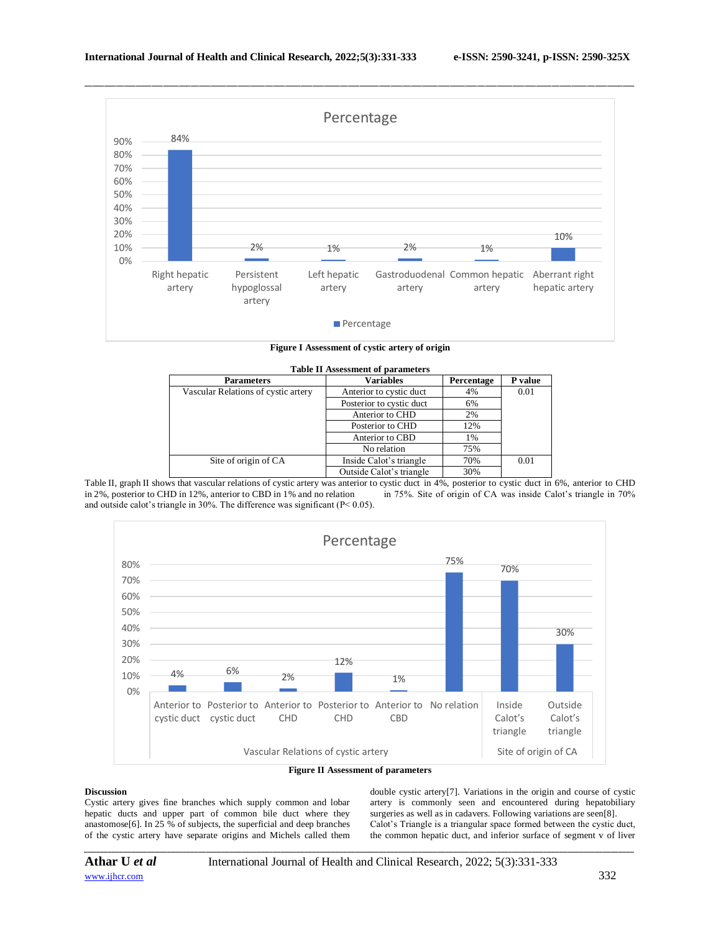

**Figure I Assessment of cystic artery of origin**

| <b>Table II Assessment of parameters</b> |                          |            |         |
|------------------------------------------|--------------------------|------------|---------|
| <b>Parameters</b>                        | <b>Variables</b>         | Percentage | P value |
| Vascular Relations of cystic artery      | Anterior to cystic duct  | 4%         | 0.01    |
|                                          | Posterior to cystic duct | 6%         |         |
|                                          | Anterior to CHD          | 2%         |         |
|                                          | Posterior to CHD         | 12%        |         |
|                                          | Anterior to CBD          | 1%         |         |
|                                          | No relation              | 75%        |         |
| Site of origin of CA                     | Inside Calot's triangle  | 70%        | 0.01    |
|                                          | Outside Calot's triangle | 30%        |         |

Table II, graph II shows that vascular relations of cystic artery was anterior to cystic duct in 4%, posterior to cystic duct in 6%, anterior to CHD in 2%, posterior to CHD in 12%, anterior to CBD in 1% and no relation in 75%. Site of origin of CA was inside Calot's triangle in 70% and outside calot's triangle in 30%. The difference was significant (P< 0.05).



# **Figure II Assessment of parameters**

*\_\_\_\_\_\_\_\_\_\_\_\_\_\_\_\_\_\_\_\_\_\_\_\_\_\_\_\_\_\_\_\_\_\_\_\_\_\_\_\_\_\_\_\_\_\_\_\_\_\_\_\_\_\_\_\_\_\_\_\_\_\_\_\_\_\_\_\_\_\_\_\_\_\_\_\_\_\_\_\_\_\_\_\_\_\_\_\_\_\_\_\_\_\_\_\_\_\_\_\_\_\_\_\_\_\_\_\_\_\_\_\_\_\_\_\_\_\_\_\_\_\_\_\_\_\_\_\_\_\_\_\_\_\_\_\_\_\_\_\_*

# **Discussion**

Cystic artery gives fine branches which supply common and lobar hepatic ducts and upper part of common bile duct where they anastomose[6]. In 25 % of subjects, the superficial and deep branches of the cystic artery have separate origins and Michels called them

double cystic artery[7]. Variations in the origin and course of cystic artery is commonly seen and encountered during hepatobiliary surgeries as well as in cadavers. Following variations are seen[8]. Calot's Triangle is a triangular space formed between the cystic duct, the common hepatic duct, and inferior surface of segment v of liver